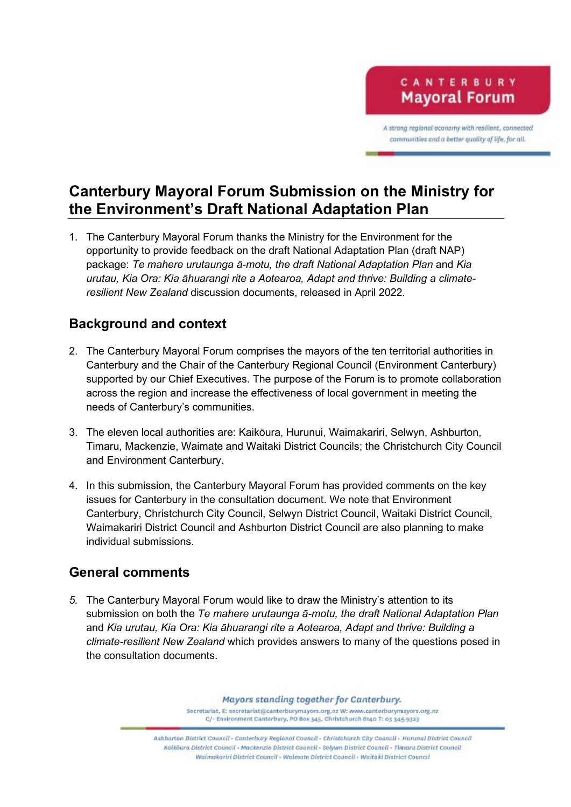CANTERBURY **Mayoral Forum** 

A strong regional economy with resilient, connected communities and a better quality of life, for all.

# **Canterbury Mayoral Forum Submission on the Ministry for the Environment's Draft National Adaptation Plan**

1. The Canterbury Mayoral Forum thanks the Ministry for the Environment for the opportunity to provide feedback on the draft National Adaptation Plan (draft NAP) package: *Te mahere urutaunga ā-motu, the draft National Adaptation Plan* and *Kia urutau, Kia Ora: Kia āhuarangi rite a Aotearoa, Adapt and thrive: Building a climateresilient New Zealand* discussion documents, released in April 2022.

## **Background and context**

- 2. The Canterbury Mayoral Forum comprises the mayors of the ten territorial authorities in Canterbury and the Chair of the Canterbury Regional Council (Environment Canterbury) supported by our Chief Executives. The purpose of the Forum is to promote collaboration across the region and increase the effectiveness of local government in meeting the needs of Canterbury's communities.
- 3. The eleven local authorities are: Kaikōura, Hurunui, Waimakariri, Selwyn, Ashburton, Timaru, Mackenzie, Waimate and Waitaki District Councils; the Christchurch City Council and Environment Canterbury.
- 4. In this submission, the Canterbury Mayoral Forum has provided comments on the key issues for Canterbury in the consultation document. We note that Environment Canterbury, Christchurch City Council, Selwyn District Council, Waitaki District Council, Waimakariri District Council and Ashburton District Council are also planning to make individual submissions.

## **General comments**

*5.* The Canterbury Mayoral Forum would like to draw the Ministry's attention to its submission on both the *Te mahere urutaunga ā-motu, the draft National Adaptation Plan* and *Kia urutau, Kia Ora: Kia āhuarangi rite a Aotearoa, Adapt and thrive: Building a climate-resilient New Zealand* which provides answers to many of the questions posed in the consultation documents.

> Mayors standing together for Canterbury. Secretariat, E: secretariat@canterburymayors.org.nz W: www.canterburymayors.org.nz C/- Environment Canterbury, PO Box 345, Christchurch 8140 T: 03 345 9323

Ashburton District Council - Cantechury Regional Council - Christchurch City Council - Hurunui District Council Kaiköura District Council - Mackenzie District Council - Selywn District Council - Timaru District Council Waitmakariri District Council - Waimate District Council - Waitaki District Council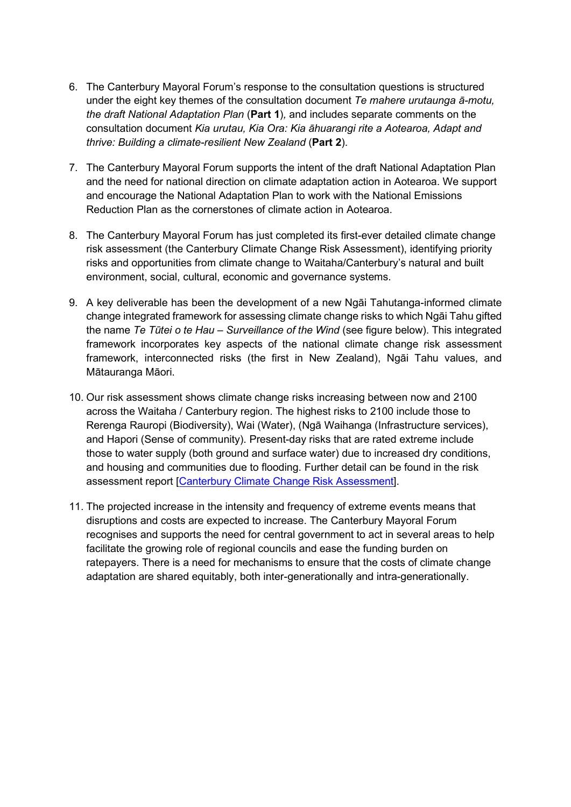- 6. The Canterbury Mayoral Forum's response to the consultation questions is structured under the eight key themes of the consultation document *Te mahere urutaunga ā-motu, the draft National Adaptation Plan* (**Part 1**)*,* and includes separate comments on the consultation document *Kia urutau, Kia Ora: Kia āhuarangi rite a Aotearoa, Adapt and thrive: Building a climate-resilient New Zealand* (**Part 2**).
- 7. The Canterbury Mayoral Forum supports the intent of the draft National Adaptation Plan and the need for national direction on climate adaptation action in Aotearoa. We support and encourage the National Adaptation Plan to work with the National Emissions Reduction Plan as the cornerstones of climate action in Aotearoa.
- 8. The Canterbury Mayoral Forum has just completed its first-ever detailed climate change risk assessment (the Canterbury Climate Change Risk Assessment), identifying priority risks and opportunities from climate change to Waitaha/Canterbury's natural and built environment, social, cultural, economic and governance systems.
- 9. A key deliverable has been the development of a new Ngāi Tahutanga-informed climate change integrated framework for assessing climate change risks to which Ngāi Tahu gifted the name *Te Tūtei o te Hau – Surveillance of the Wind* (see figure below). This integrated framework incorporates key aspects of the national climate change risk assessment framework, interconnected risks (the first in New Zealand), Ngāi Tahu values, and Mātauranga Māori.
- 10. Our risk assessment shows climate change risks increasing between now and 2100 across the Waitaha / Canterbury region. The highest risks to 2100 include those to Rerenga Rauropi (Biodiversity), Wai (Water), (Ngā Waihanga (Infrastructure services), and Hapori (Sense of community). Present-day risks that are rated extreme include those to water supply (both ground and surface water) due to increased dry conditions, and housing and communities due to flooding. Further detail can be found in the risk assessment report [\[Canterbury Climate Change Risk Assessment\]](https://www.canterburymayors.org.nz/wp-content/uploads/Canterbury-CCRA-Report_FINAL_V5.0.pdf).
- 11. The projected increase in the intensity and frequency of extreme events means that disruptions and costs are expected to increase. The Canterbury Mayoral Forum recognises and supports the need for central government to act in several areas to help facilitate the growing role of regional councils and ease the funding burden on ratepayers. There is a need for mechanisms to ensure that the costs of climate change adaptation are shared equitably, both inter-generationally and intra-generationally.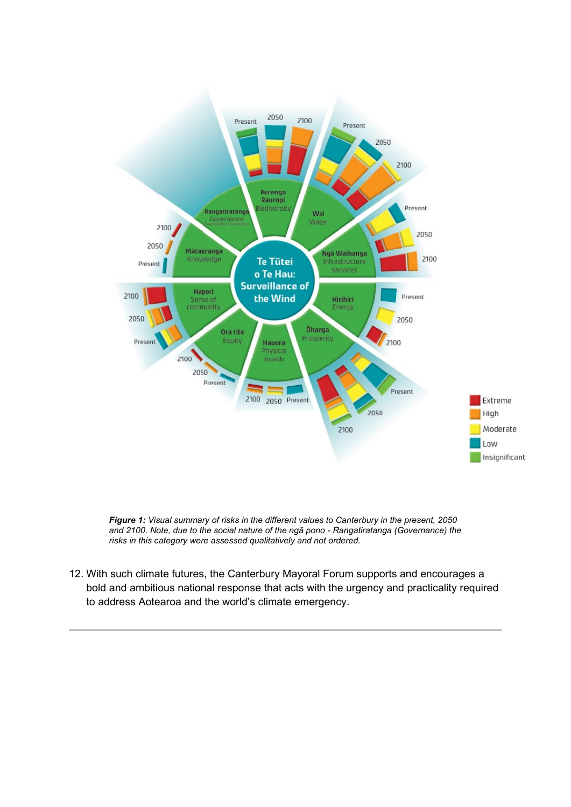

*Figure 1: Visual summary of risks in the different values to Canterbury in the present, 2050 and 2100. Note, due to the social nature of the ngā pono - Rangatiratanga (Governance) the risks in this category were assessed qualitatively and not ordered.*

12. With such climate futures, the Canterbury Mayoral Forum supports and encourages a bold and ambitious national response that acts with the urgency and practicality required to address Aotearoa and the world's climate emergency.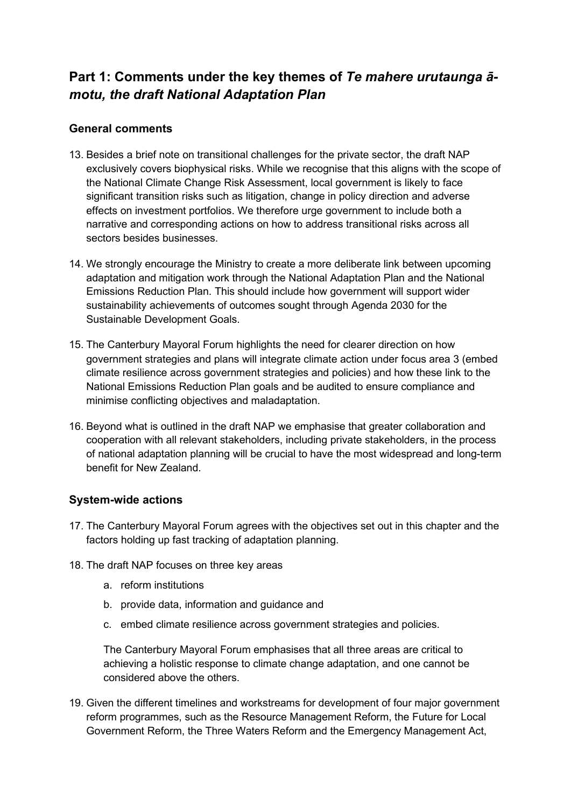## **Part 1: Comments under the key themes of** *Te mahere urutaunga āmotu, the draft National Adaptation Plan*

### **General comments**

- 13. Besides a brief note on transitional challenges for the private sector, the draft NAP exclusively covers biophysical risks. While we recognise that this aligns with the scope of the National Climate Change Risk Assessment, local government is likely to face significant transition risks such as litigation, change in policy direction and adverse effects on investment portfolios. We therefore urge government to include both a narrative and corresponding actions on how to address transitional risks across all sectors besides businesses.
- 14. We strongly encourage the Ministry to create a more deliberate link between upcoming adaptation and mitigation work through the National Adaptation Plan and the National Emissions Reduction Plan. This should include how government will support wider sustainability achievements of outcomes sought through Agenda 2030 for the Sustainable Development Goals.
- 15. The Canterbury Mayoral Forum highlights the need for clearer direction on how government strategies and plans will integrate climate action under focus area 3 (embed climate resilience across government strategies and policies) and how these link to the National Emissions Reduction Plan goals and be audited to ensure compliance and minimise conflicting objectives and maladaptation.
- 16. Beyond what is outlined in the draft NAP we emphasise that greater collaboration and cooperation with all relevant stakeholders, including private stakeholders, in the process of national adaptation planning will be crucial to have the most widespread and long-term benefit for New Zealand.

#### **System-wide actions**

- 17. The Canterbury Mayoral Forum agrees with the objectives set out in this chapter and the factors holding up fast tracking of adaptation planning.
- 18. The draft NAP focuses on three key areas
	- a. reform institutions
	- b. provide data, information and guidance and
	- c. embed climate resilience across government strategies and policies.

The Canterbury Mayoral Forum emphasises that all three areas are critical to achieving a holistic response to climate change adaptation, and one cannot be considered above the others.

19. Given the different timelines and workstreams for development of four major government reform programmes, such as the Resource Management Reform, the Future for Local Government Reform, the Three Waters Reform and the Emergency Management Act,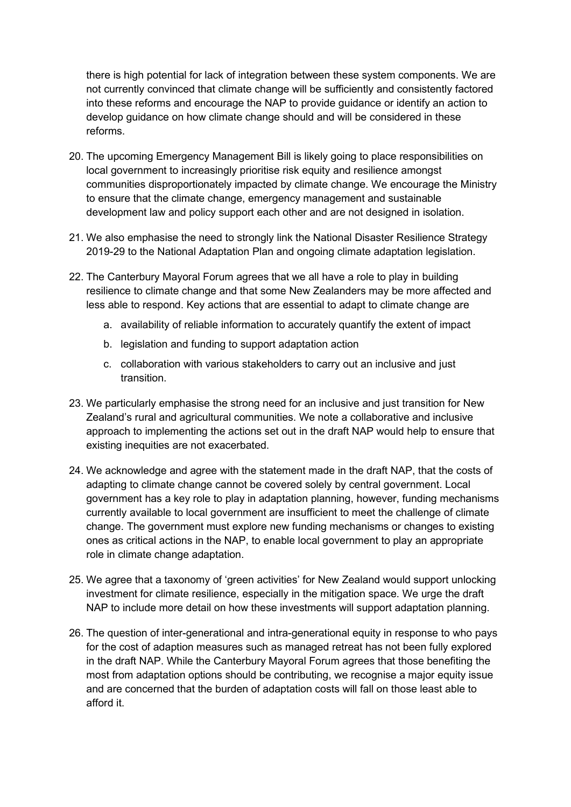there is high potential for lack of integration between these system components. We are not currently convinced that climate change will be sufficiently and consistently factored into these reforms and encourage the NAP to provide guidance or identify an action to develop guidance on how climate change should and will be considered in these reforms.

- 20. The upcoming Emergency Management Bill is likely going to place responsibilities on local government to increasingly prioritise risk equity and resilience amongst communities disproportionately impacted by climate change. We encourage the Ministry to ensure that the climate change, emergency management and sustainable development law and policy support each other and are not designed in isolation.
- 21. We also emphasise the need to strongly link the National Disaster Resilience Strategy 2019-29 to the National Adaptation Plan and ongoing climate adaptation legislation.
- 22. The Canterbury Mayoral Forum agrees that we all have a role to play in building resilience to climate change and that some New Zealanders may be more affected and less able to respond. Key actions that are essential to adapt to climate change are
	- a. availability of reliable information to accurately quantify the extent of impact
	- b. legislation and funding to support adaptation action
	- c. collaboration with various stakeholders to carry out an inclusive and just transition.
- 23. We particularly emphasise the strong need for an inclusive and just transition for New Zealand's rural and agricultural communities. We note a collaborative and inclusive approach to implementing the actions set out in the draft NAP would help to ensure that existing inequities are not exacerbated.
- 24. We acknowledge and agree with the statement made in the draft NAP, that the costs of adapting to climate change cannot be covered solely by central government. Local government has a key role to play in adaptation planning, however, funding mechanisms currently available to local government are insufficient to meet the challenge of climate change. The government must explore new funding mechanisms or changes to existing ones as critical actions in the NAP, to enable local government to play an appropriate role in climate change adaptation.
- 25. We agree that a taxonomy of 'green activities' for New Zealand would support unlocking investment for climate resilience, especially in the mitigation space. We urge the draft NAP to include more detail on how these investments will support adaptation planning.
- 26. The question of inter-generational and intra-generational equity in response to who pays for the cost of adaption measures such as managed retreat has not been fully explored in the draft NAP. While the Canterbury Mayoral Forum agrees that those benefiting the most from adaptation options should be contributing, we recognise a major equity issue and are concerned that the burden of adaptation costs will fall on those least able to afford it.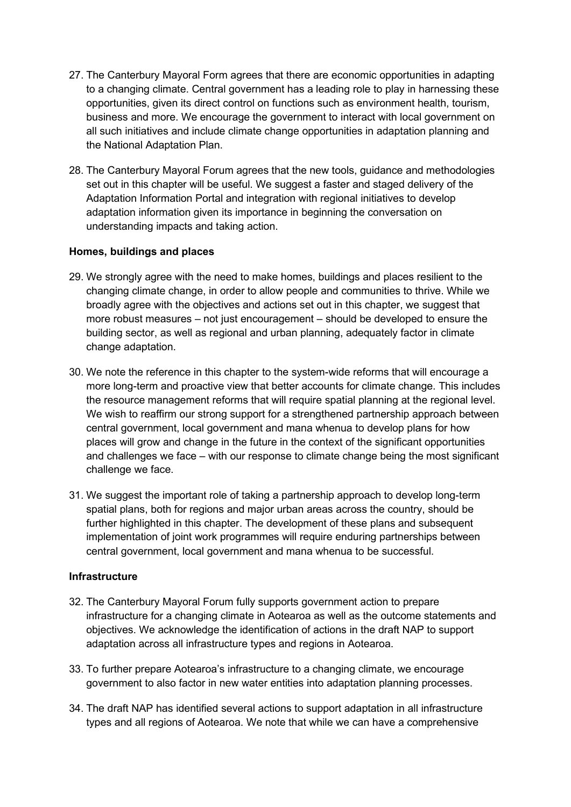- 27. The Canterbury Mayoral Form agrees that there are economic opportunities in adapting to a changing climate. Central government has a leading role to play in harnessing these opportunities, given its direct control on functions such as environment health, tourism, business and more. We encourage the government to interact with local government on all such initiatives and include climate change opportunities in adaptation planning and the National Adaptation Plan.
- 28. The Canterbury Mayoral Forum agrees that the new tools, guidance and methodologies set out in this chapter will be useful. We suggest a faster and staged delivery of the Adaptation Information Portal and integration with regional initiatives to develop adaptation information given its importance in beginning the conversation on understanding impacts and taking action.

#### **Homes, buildings and places**

- 29. We strongly agree with the need to make homes, buildings and places resilient to the changing climate change, in order to allow people and communities to thrive. While we broadly agree with the objectives and actions set out in this chapter, we suggest that more robust measures – not just encouragement – should be developed to ensure the building sector, as well as regional and urban planning, adequately factor in climate change adaptation.
- 30. We note the reference in this chapter to the system-wide reforms that will encourage a more long-term and proactive view that better accounts for climate change. This includes the resource management reforms that will require spatial planning at the regional level. We wish to reaffirm our strong support for a strengthened partnership approach between central government, local government and mana whenua to develop plans for how places will grow and change in the future in the context of the significant opportunities and challenges we face – with our response to climate change being the most significant challenge we face.
- 31. We suggest the important role of taking a partnership approach to develop long-term spatial plans, both for regions and major urban areas across the country, should be further highlighted in this chapter. The development of these plans and subsequent implementation of joint work programmes will require enduring partnerships between central government, local government and mana whenua to be successful.

#### **Infrastructure**

- 32. The Canterbury Mayoral Forum fully supports government action to prepare infrastructure for a changing climate in Aotearoa as well as the outcome statements and objectives. We acknowledge the identification of actions in the draft NAP to support adaptation across all infrastructure types and regions in Aotearoa.
- 33. To further prepare Aotearoa's infrastructure to a changing climate, we encourage government to also factor in new water entities into adaptation planning processes.
- 34. The draft NAP has identified several actions to support adaptation in all infrastructure types and all regions of Aotearoa. We note that while we can have a comprehensive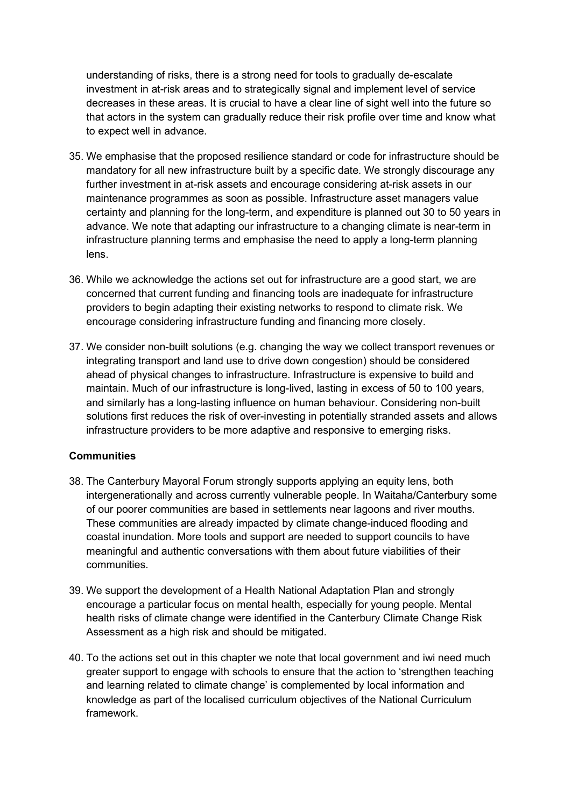understanding of risks, there is a strong need for tools to gradually de-escalate investment in at-risk areas and to strategically signal and implement level of service decreases in these areas. It is crucial to have a clear line of sight well into the future so that actors in the system can gradually reduce their risk profile over time and know what to expect well in advance.

- 35. We emphasise that the proposed resilience standard or code for infrastructure should be mandatory for all new infrastructure built by a specific date. We strongly discourage any further investment in at-risk assets and encourage considering at-risk assets in our maintenance programmes as soon as possible. Infrastructure asset managers value certainty and planning for the long-term, and expenditure is planned out 30 to 50 years in advance. We note that adapting our infrastructure to a changing climate is near-term in infrastructure planning terms and emphasise the need to apply a long-term planning lens.
- 36. While we acknowledge the actions set out for infrastructure are a good start, we are concerned that current funding and financing tools are inadequate for infrastructure providers to begin adapting their existing networks to respond to climate risk. We encourage considering infrastructure funding and financing more closely.
- 37. We consider non-built solutions (e.g. changing the way we collect transport revenues or integrating transport and land use to drive down congestion) should be considered ahead of physical changes to infrastructure. Infrastructure is expensive to build and maintain. Much of our infrastructure is long-lived, lasting in excess of 50 to 100 years, and similarly has a long-lasting influence on human behaviour. Considering non-built solutions first reduces the risk of over-investing in potentially stranded assets and allows infrastructure providers to be more adaptive and responsive to emerging risks.

#### **Communities**

- 38. The Canterbury Mayoral Forum strongly supports applying an equity lens, both intergenerationally and across currently vulnerable people. In Waitaha/Canterbury some of our poorer communities are based in settlements near lagoons and river mouths. These communities are already impacted by climate change-induced flooding and coastal inundation. More tools and support are needed to support councils to have meaningful and authentic conversations with them about future viabilities of their communities.
- 39. We support the development of a Health National Adaptation Plan and strongly encourage a particular focus on mental health, especially for young people. Mental health risks of climate change were identified in the Canterbury Climate Change Risk Assessment as a high risk and should be mitigated.
- 40. To the actions set out in this chapter we note that local government and iwi need much greater support to engage with schools to ensure that the action to 'strengthen teaching and learning related to climate change' is complemented by local information and knowledge as part of the localised curriculum objectives of the National Curriculum framework.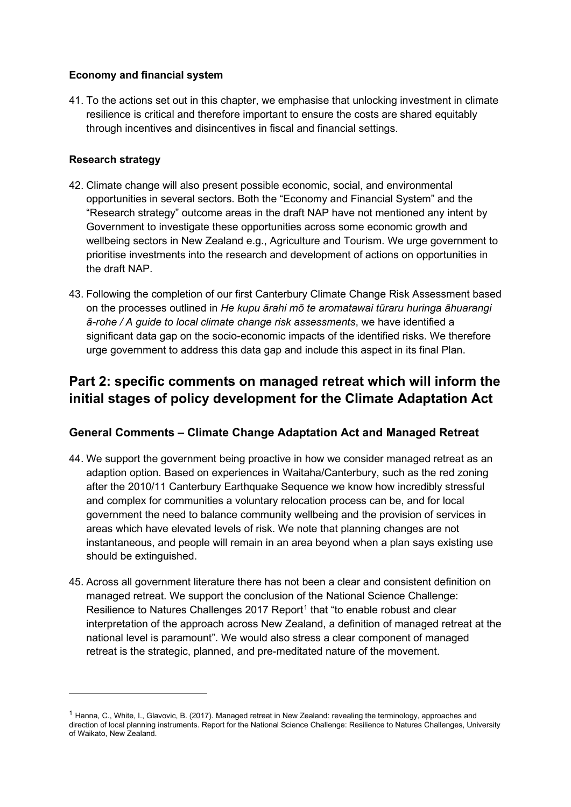#### **Economy and financial system**

41. To the actions set out in this chapter, we emphasise that unlocking investment in climate resilience is critical and therefore important to ensure the costs are shared equitably through incentives and disincentives in fiscal and financial settings.

#### **Research strategy**

- 42. Climate change will also present possible economic, social, and environmental opportunities in several sectors. Both the "Economy and Financial System" and the "Research strategy" outcome areas in the draft NAP have not mentioned any intent by Government to investigate these opportunities across some economic growth and wellbeing sectors in New Zealand e.g., Agriculture and Tourism. We urge government to prioritise investments into the research and development of actions on opportunities in the draft NAP.
- 43. Following the completion of our first Canterbury Climate Change Risk Assessment based on the processes outlined in *He kupu ārahi mō te aromatawai tūraru huringa āhuarangi ā-rohe / A guide to local climate change risk assessments*, we have identified a significant data gap on the socio-economic impacts of the identified risks. We therefore urge government to address this data gap and include this aspect in its final Plan.

## **Part 2: specific comments on managed retreat which will inform the initial stages of policy development for the Climate Adaptation Act**

## **General Comments – Climate Change Adaptation Act and Managed Retreat**

- 44. We support the government being proactive in how we consider managed retreat as an adaption option. Based on experiences in Waitaha/Canterbury, such as the red zoning after the 2010/11 Canterbury Earthquake Sequence we know how incredibly stressful and complex for communities a voluntary relocation process can be, and for local government the need to balance community wellbeing and the provision of services in areas which have elevated levels of risk. We note that planning changes are not instantaneous, and people will remain in an area beyond when a plan says existing use should be extinguished.
- 45. Across all government literature there has not been a clear and consistent definition on managed retreat. We support the conclusion of the National Science Challenge: Resilience to Natures Challenges 20[1](#page-7-0)7 Report<sup>1</sup> that "to enable robust and clear interpretation of the approach across New Zealand, a definition of managed retreat at the national level is paramount". We would also stress a clear component of managed retreat is the strategic, planned, and pre-meditated nature of the movement.

<span id="page-7-0"></span><sup>1</sup> Hanna, C., White, I., Glavovic, B. (2017). Managed retreat in New Zealand: revealing the terminology, approaches and direction of local planning instruments. Report for the National Science Challenge: Resilience to Natures Challenges, University of Waikato, New Zealand.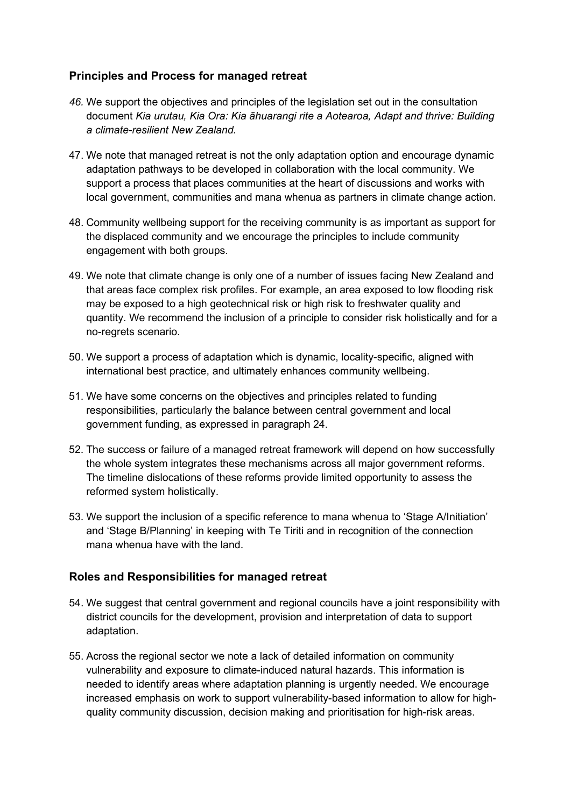### **Principles and Process for managed retreat**

- *46.* We support the objectives and principles of the legislation set out in the consultation document *Kia urutau, Kia Ora: Kia āhuarangi rite a Aotearoa, Adapt and thrive: Building a climate-resilient New Zealand.*
- 47. We note that managed retreat is not the only adaptation option and encourage dynamic adaptation pathways to be developed in collaboration with the local community. We support a process that places communities at the heart of discussions and works with local government, communities and mana whenua as partners in climate change action.
- 48. Community wellbeing support for the receiving community is as important as support for the displaced community and we encourage the principles to include community engagement with both groups.
- 49. We note that climate change is only one of a number of issues facing New Zealand and that areas face complex risk profiles. For example, an area exposed to low flooding risk may be exposed to a high geotechnical risk or high risk to freshwater quality and quantity. We recommend the inclusion of a principle to consider risk holistically and for a no-regrets scenario.
- 50. We support a process of adaptation which is dynamic, locality-specific, aligned with international best practice, and ultimately enhances community wellbeing.
- 51. We have some concerns on the objectives and principles related to funding responsibilities, particularly the balance between central government and local government funding, as expressed in paragraph 24.
- 52. The success or failure of a managed retreat framework will depend on how successfully the whole system integrates these mechanisms across all major government reforms. The timeline dislocations of these reforms provide limited opportunity to assess the reformed system holistically.
- 53. We support the inclusion of a specific reference to mana whenua to 'Stage A/Initiation' and 'Stage B/Planning' in keeping with Te Tiriti and in recognition of the connection mana whenua have with the land.

### **Roles and Responsibilities for managed retreat**

- 54. We suggest that central government and regional councils have a joint responsibility with district councils for the development, provision and interpretation of data to support adaptation.
- 55. Across the regional sector we note a lack of detailed information on community vulnerability and exposure to climate-induced natural hazards. This information is needed to identify areas where adaptation planning is urgently needed. We encourage increased emphasis on work to support vulnerability-based information to allow for highquality community discussion, decision making and prioritisation for high-risk areas.